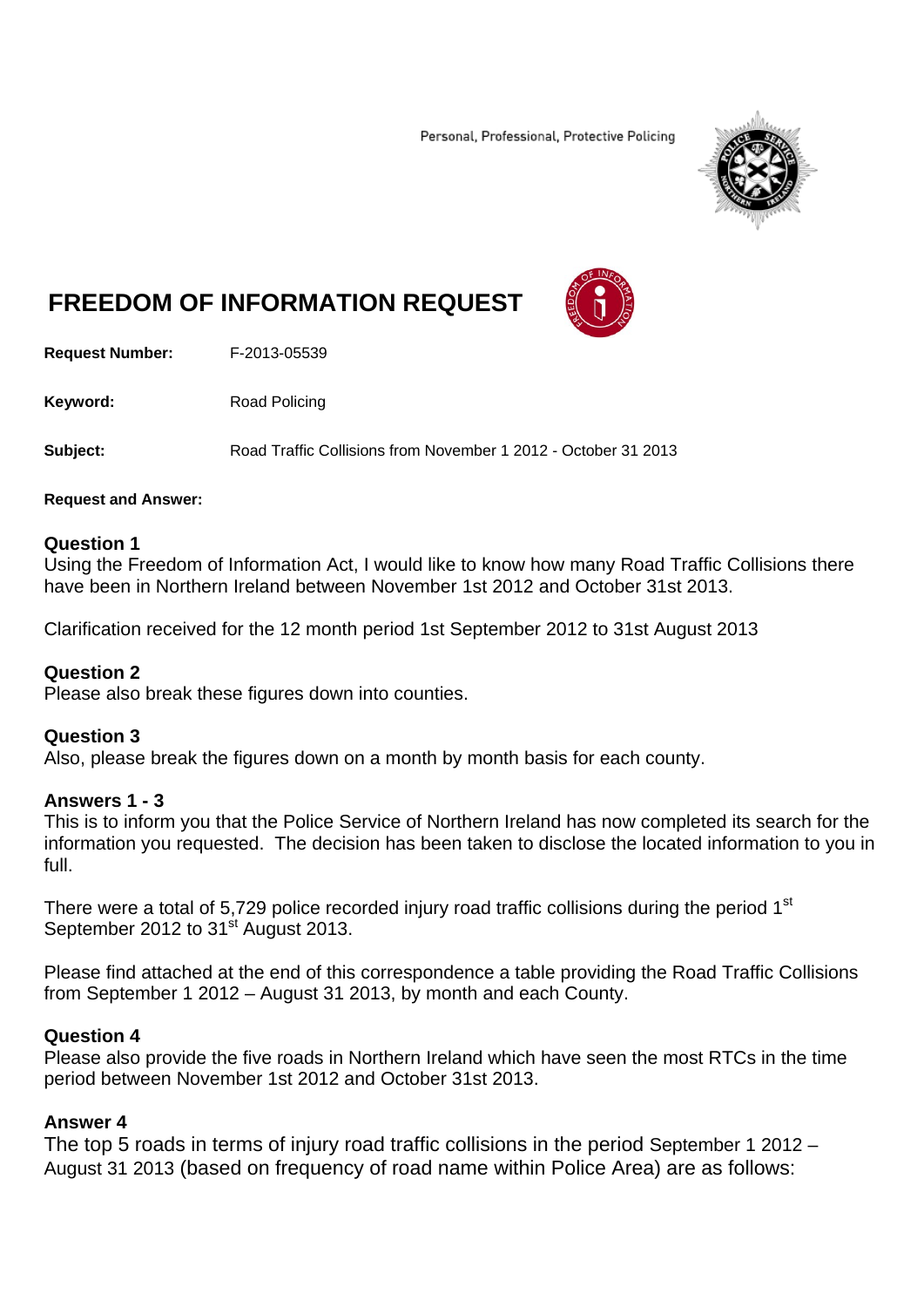Personal, Professional, Protective Policing



# **FREEDOM OF INFORMATION REQUEST**



**Request Number:** F-2013-05539

**Keyword:** Road Policing

**Subject:** Road Traffic Collisions from November 1 2012 - October 31 2013

#### **Request and Answer:**

#### **Question 1**

Using the Freedom of Information Act, I would like to know how many Road Traffic Collisions there have been in Northern Ireland between November 1st 2012 and October 31st 2013.

Clarification received for the 12 month period 1st September 2012 to 31st August 2013

# **Question 2**

Please also break these figures down into counties.

# **Question 3**

Also, please break the figures down on a month by month basis for each county.

# **Answers 1 - 3**

This is to inform you that the Police Service of Northern Ireland has now completed its search for the information you requested. The decision has been taken to disclose the located information to you in full.

There were a total of 5,729 police recorded injury road traffic collisions during the period 1<sup>st</sup> September 2012 to 31<sup>st</sup> August 2013.

Please find attached at the end of this correspondence a table providing the Road Traffic Collisions from September 1 2012 – August 31 2013, by month and each County.

# **Question 4**

Please also provide the five roads in Northern Ireland which have seen the most RTCs in the time period between November 1st 2012 and October 31st 2013.

# **Answer 4**

The top 5 roads in terms of injury road traffic collisions in the period September 1 2012 – August 31 2013 (based on frequency of road name within Police Area) are as follows: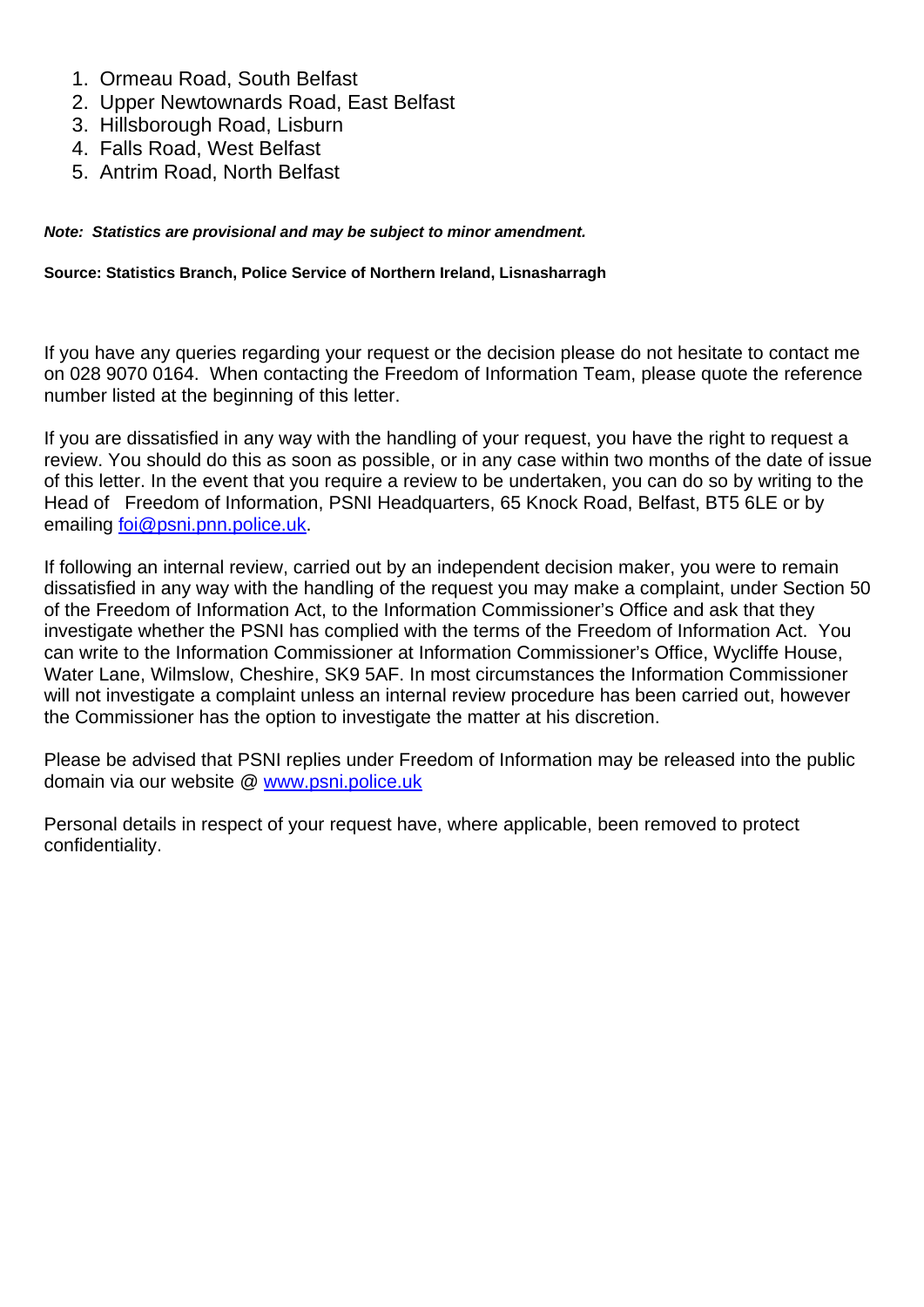- 1. Ormeau Road, South Belfast
- 2. Upper Newtownards Road, East Belfast
- 3. Hillsborough Road, Lisburn
- 4. Falls Road, West Belfast
- 5. Antrim Road, North Belfast

#### *Note: Statistics are provisional and may be subject to minor amendment.*

#### **Source: Statistics Branch, Police Service of Northern Ireland, Lisnasharragh**

If you have any queries regarding your request or the decision please do not hesitate to contact me on 028 9070 0164. When contacting the Freedom of Information Team, please quote the reference number listed at the beginning of this letter.

If you are dissatisfied in any way with the handling of your request, you have the right to request a review. You should do this as soon as possible, or in any case within two months of the date of issue of this letter. In the event that you require a review to be undertaken, you can do so by writing to the Head of Freedom of Information, PSNI Headquarters, 65 Knock Road, Belfast, BT5 6LE or by emailing foi@psni.pnn.police.uk.

If following an internal review, carried out by an independent decision maker, you were to remain dissatisfied in any way with the handling of the request you may make a complaint, under Section 50 of the Freedom of Information Act, to the Information Commissioner's Office and ask that they investigate whether the PSNI has complied with the terms of the Freedom of Information Act. You can write to the Information Commissioner at Information Commissioner's Office, Wycliffe House, Water Lane, Wilmslow, Cheshire, SK9 5AF. In most circumstances the Information Commissioner will not investigate a complaint unless an internal review procedure has been carried out, however the Commissioner has the option to investigate the matter at his discretion.

Please be advised that PSNI replies under Freedom of Information may be released into the public domain via our website @ www.psni.police.uk

Personal details in respect of your request have, where applicable, been removed to protect confidentiality.